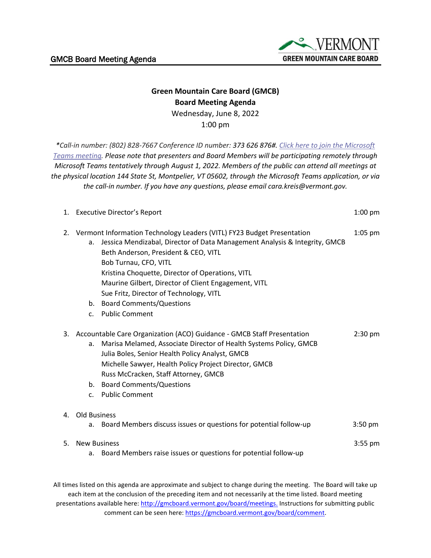

## **Green Mountain Care Board (GMCB) Board Meeting Agenda** Wednesday, June 8, 2022

1:00 pm

*\*Call-in number: (802) 828-7667 Conference ID number: 373 626 876#. [Click here to join the Microsoft](https://teams.microsoft.com/l/meetup-join/19%3ameeting_OTQwNTc5N2ItMDk1Yy00YjJiLWEyMmUtNjE4MzZkMmI0YjRj%40thread.v2/0?context=%7b%22Tid%22%3a%2220b4933b-baad-433c-9c02-70edcc7559c6%22%2c%22Oid%22%3a%2263d3547f-e4c1-4857-ba9b-7340463e85f4%22%7d)  [Teams meeting.](https://teams.microsoft.com/l/meetup-join/19%3ameeting_OTQwNTc5N2ItMDk1Yy00YjJiLWEyMmUtNjE4MzZkMmI0YjRj%40thread.v2/0?context=%7b%22Tid%22%3a%2220b4933b-baad-433c-9c02-70edcc7559c6%22%2c%22Oid%22%3a%2263d3547f-e4c1-4857-ba9b-7340463e85f4%22%7d) Please note that presenters and Board Members will be participating remotely through Microsoft Teams tentatively through August 1, 2022. Members of the public can attend all meetings at the physical location 144 State St, Montpelier, VT 05602, through the Microsoft Teams application, or via the call-in number. If you have any questions, please email cara.kreis@vermont.gov.*

|    | 1. Executive Director's Report                                                                                                                                                                                                                                                                                                                                                                                                                               | $1:00$ pm |
|----|--------------------------------------------------------------------------------------------------------------------------------------------------------------------------------------------------------------------------------------------------------------------------------------------------------------------------------------------------------------------------------------------------------------------------------------------------------------|-----------|
| 2. | Vermont Information Technology Leaders (VITL) FY23 Budget Presentation<br>Jessica Mendizabal, Director of Data Management Analysis & Integrity, GMCB<br>a.<br>Beth Anderson, President & CEO, VITL<br>Bob Turnau, CFO, VITL<br>Kristina Choquette, Director of Operations, VITL<br>Maurine Gilbert, Director of Client Engagement, VITL<br>Sue Fritz, Director of Technology, VITL<br>b. Board Comments/Questions<br><b>Public Comment</b><br>$\mathsf{C}$ . | $1:05$ pm |
|    | 3. Accountable Care Organization (ACO) Guidance - GMCB Staff Presentation<br>Marisa Melamed, Associate Director of Health Systems Policy, GMCB<br>a.<br>Julia Boles, Senior Health Policy Analyst, GMCB<br>Michelle Sawyer, Health Policy Project Director, GMCB<br>Russ McCracken, Staff Attorney, GMCB<br>b. Board Comments/Questions<br><b>Public Comment</b><br>C <sub>1</sub>                                                                           | $2:30$ pm |
|    | 4. Old Business                                                                                                                                                                                                                                                                                                                                                                                                                                              |           |
|    | Board Members discuss issues or questions for potential follow-up<br>a.                                                                                                                                                                                                                                                                                                                                                                                      | $3:50$ pm |
| 5. | <b>New Business</b><br>a. Board Members raise issues or questions for potential follow-up                                                                                                                                                                                                                                                                                                                                                                    | $3:55$ pm |

All times listed on this agenda are approximate and subject to change during the meeting. The Board will take up each item at the conclusion of the preceding item and not necessarily at the time listed. Board meeting presentations available here: [http://gmcboard.vermont.gov/board/meetings.](http://gmcboard.vermont.gov/board/meetings) Instructions for submitting public comment can be seen here: [https://gmcboard.vermont.gov/board/comment.](https://gmcboard.vermont.gov/board/comment)